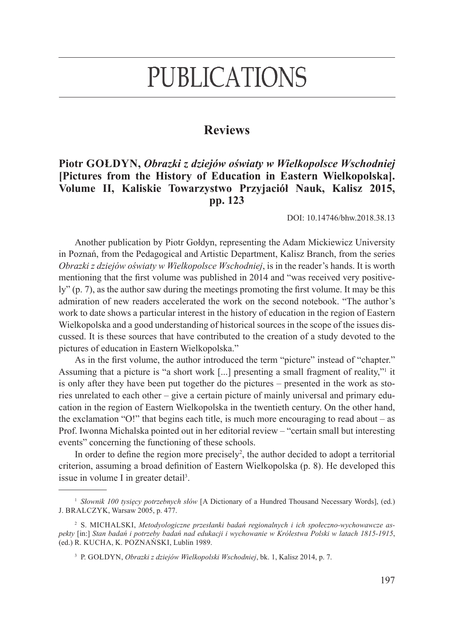## **PUBLICATIONS**

## **Reviews**

## **Piotr Gołdyn,** *Obrazki z dziejów oświaty w Wielkopolsce Wschodniej*  **[Pictures from the History of Education in Eastern Wielkopolska]. Volume II, Kaliskie Towarzystwo Przyjaciół Nauk, Kalisz 2015, pp. 123**

DOI: 10.14746/bhw.2018.38.13

Another publication by Piotr Gołdyn, representing the Adam Mickiewicz University in Poznań, from the Pedagogical and Artistic Department, Kalisz Branch, from the series *Obrazki z dziejów oświaty w Wielkopolsce Wschodniej*, is in the reader's hands. It is worth mentioning that the first volume was published in 2014 and "was received very positively" (p. 7), as the author saw during the meetings promoting the first volume. It may be this admiration of new readers accelerated the work on the second notebook. "The author's work to date shows a particular interest in the history of education in the region of Eastern Wielkopolska and a good understanding of historical sources in the scope of the issues discussed. It is these sources that have contributed to the creation of a study devoted to the pictures of education in Eastern Wielkopolska."

As in the first volume, the author introduced the term "picture" instead of "chapter." Assuming that a picture is "a short work [...] presenting a small fragment of reality,"<sup>1</sup> it is only after they have been put together do the pictures – presented in the work as stories unrelated to each other – give a certain picture of mainly universal and primary education in the region of Eastern Wielkopolska in the twentieth century. On the other hand, the exclamation "O!" that begins each title, is much more encouraging to read about – as Prof. Iwonna Michalska pointed out in her editorial review – "certain small but interesting events" concerning the functioning of these schools.

In order to define the region more precisely<sup>2</sup>, the author decided to adopt a territorial criterion, assuming a broad definition of Eastern Wielkopolska (p. 8). He developed this issue in volume I in greater detail<sup>3</sup>.

<sup>1</sup> *Słownik 100 tysięcy potrzebnych słów* [A Dictionary of a Hundred Thousand Necessary Words], (ed.) J. Bralczyk, Warsaw 2005, p. 477.

<sup>2</sup> S. Michalski, *Metodyologiczne przesłanki badań regionalnych i ich społeczno-wychowawcze aspekty* [in:] *Stan badań i potrzeby badań nad edukacji i wychowanie w Królestwa Polski w latach 1815-1915*, (ed.) R. Kucha, K. Poznański, Lublin 1989.

<sup>3</sup> P. Gołdyn, *Obrazki z dziejów Wielkopolski Wschodniej*, bk. 1, Kalisz 2014, p. 7.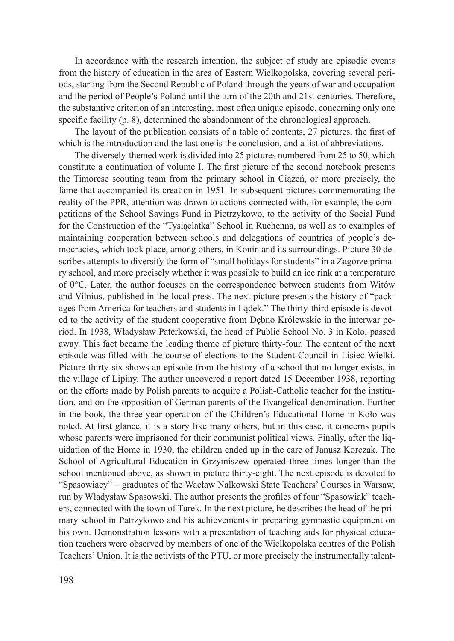In accordance with the research intention, the subject of study are episodic events from the history of education in the area of Eastern Wielkopolska, covering several periods, starting from the Second Republic of Poland through the years of war and occupation and the period of People's Poland until the turn of the 20th and 21st centuries. Therefore, the substantive criterion of an interesting, most often unique episode, concerning only one specific facility (p. 8), determined the abandonment of the chronological approach.

The layout of the publication consists of a table of contents, 27 pictures, the first of which is the introduction and the last one is the conclusion, and a list of abbreviations.

The diversely-themed work is divided into 25 pictures numbered from 25 to 50, which constitute a continuation of volume I. The first picture of the second notebook presents the Timorese scouting team from the primary school in Ciążeń, or more precisely, the fame that accompanied its creation in 1951. In subsequent pictures commemorating the reality of the PPR, attention was drawn to actions connected with, for example, the competitions of the School Savings Fund in Pietrzykowo, to the activity of the Social Fund for the Construction of the "Tysiąclatka" School in Ruchenna, as well as to examples of maintaining cooperation between schools and delegations of countries of people's democracies, which took place, among others, in Konin and its surroundings. Picture 30 describes attempts to diversify the form of "small holidays for students" in a Zagórze primary school, and more precisely whether it was possible to build an ice rink at a temperature of 0°C. Later, the author focuses on the correspondence between students from Witów and Vilnius, published in the local press. The next picture presents the history of "packages from America for teachers and students in Lądek." The thirty-third episode is devoted to the activity of the student cooperative from Dębno Królewskie in the interwar period. In 1938, Władysław Paterkowski, the head of Public School No. 3 in Koło, passed away. This fact became the leading theme of picture thirty-four. The content of the next episode was filled with the course of elections to the Student Council in Lisiec Wielki. Picture thirty-six shows an episode from the history of a school that no longer exists, in the village of Lipiny. The author uncovered a report dated 15 December 1938, reporting on the efforts made by Polish parents to acquire a Polish-Catholic teacher for the institution, and on the opposition of German parents of the Evangelical denomination. Further in the book, the three-year operation of the Children's Educational Home in Koło was noted. At first glance, it is a story like many others, but in this case, it concerns pupils whose parents were imprisoned for their communist political views. Finally, after the liquidation of the Home in 1930, the children ended up in the care of Janusz Korczak. The School of Agricultural Education in Grzymiszew operated three times longer than the school mentioned above, as shown in picture thirty-eight. The next episode is devoted to "Spasowiacy" – graduates of the Wacław Nałkowski State Teachers' Courses in Warsaw, run by Władysław Spasowski. The author presents the profiles of four "Spasowiak" teachers, connected with the town of Turek. In the next picture, he describes the head of the primary school in Patrzykowo and his achievements in preparing gymnastic equipment on his own. Demonstration lessons with a presentation of teaching aids for physical education teachers were observed by members of one of the Wielkopolska centres of the Polish Teachers' Union. It is the activists of the PTU, or more precisely the instrumentally talent-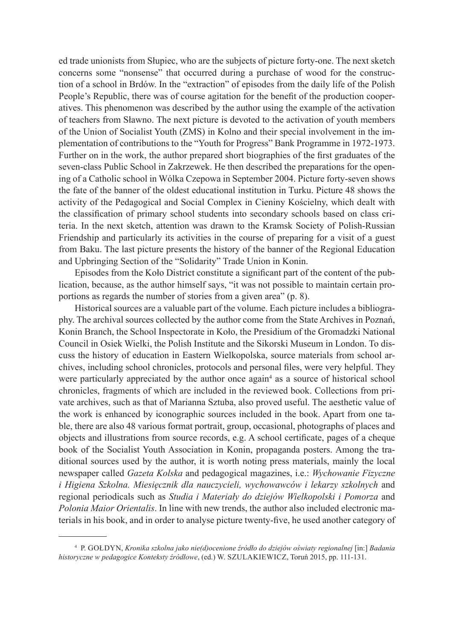ed trade unionists from Słupiec, who are the subjects of picture forty-one. The next sketch concerns some "nonsense" that occurred during a purchase of wood for the construction of a school in Brdów. In the "extraction" of episodes from the daily life of the Polish People's Republic, there was of course agitation for the benefit of the production cooperatives. This phenomenon was described by the author using the example of the activation of teachers from Sławno. The next picture is devoted to the activation of youth members of the Union of Socialist Youth (ZMS) in Kolno and their special involvement in the implementation of contributions to the "Youth for Progress" Bank Programme in 1972-1973. Further on in the work, the author prepared short biographies of the first graduates of the seven-class Public School in Zakrzewek. He then described the preparations for the opening of a Catholic school in Wólka Czepowa in September 2004. Picture forty-seven shows the fate of the banner of the oldest educational institution in Turku. Picture 48 shows the activity of the Pedagogical and Social Complex in Cieniny Kościelny, which dealt with the classification of primary school students into secondary schools based on class criteria. In the next sketch, attention was drawn to the Kramsk Society of Polish-Russian Friendship and particularly its activities in the course of preparing for a visit of a guest from Baku. The last picture presents the history of the banner of the Regional Education and Upbringing Section of the "Solidarity" Trade Union in Konin.

Episodes from the Koło District constitute a significant part of the content of the publication, because, as the author himself says, "it was not possible to maintain certain proportions as regards the number of stories from a given area" (p. 8).

Historical sources are a valuable part of the volume. Each picture includes a bibliography. The archival sources collected by the author come from the State Archives in Poznań, Konin Branch, the School Inspectorate in Koło, the Presidium of the Gromadzki National Council in Osiek Wielki, the Polish Institute and the Sikorski Museum in London. To discuss the history of education in Eastern Wielkopolska, source materials from school archives, including school chronicles, protocols and personal files, were very helpful. They were particularly appreciated by the author once again<sup>4</sup> as a source of historical school chronicles, fragments of which are included in the reviewed book. Collections from private archives, such as that of Marianna Sztuba, also proved useful. The aesthetic value of the work is enhanced by iconographic sources included in the book. Apart from one table, there are also 48 various format portrait, group, occasional, photographs of places and objects and illustrations from source records, e.g. A school certificate, pages of a cheque book of the Socialist Youth Association in Konin, propaganda posters. Among the traditional sources used by the author, it is worth noting press materials, mainly the local newspaper called *Gazeta Kolska* and pedagogical magazines, i.e.: *Wychowanie Fizyczne i Higiena Szkolna. Miesięcznik dla nauczycieli, wychowawców i lekarzy szkolnych* and regional periodicals such as *Studia i Materiały do dziejów Wielkopolski i Pomorza* and *Polonia Maior Orientalis*. In line with new trends, the author also included electronic materials in his book, and in order to analyse picture twenty-five, he used another category of

<sup>4</sup> P. Gołdyn, *Kronika szkolna jako nie(d)ocenione źródło do dziejów oświaty regionalnej* [in:] *Badania historyczne w pedagogice Konteksty źródłowe*, (ed.) W. Szulakiewicz, Toruń 2015, pp. 111-131.